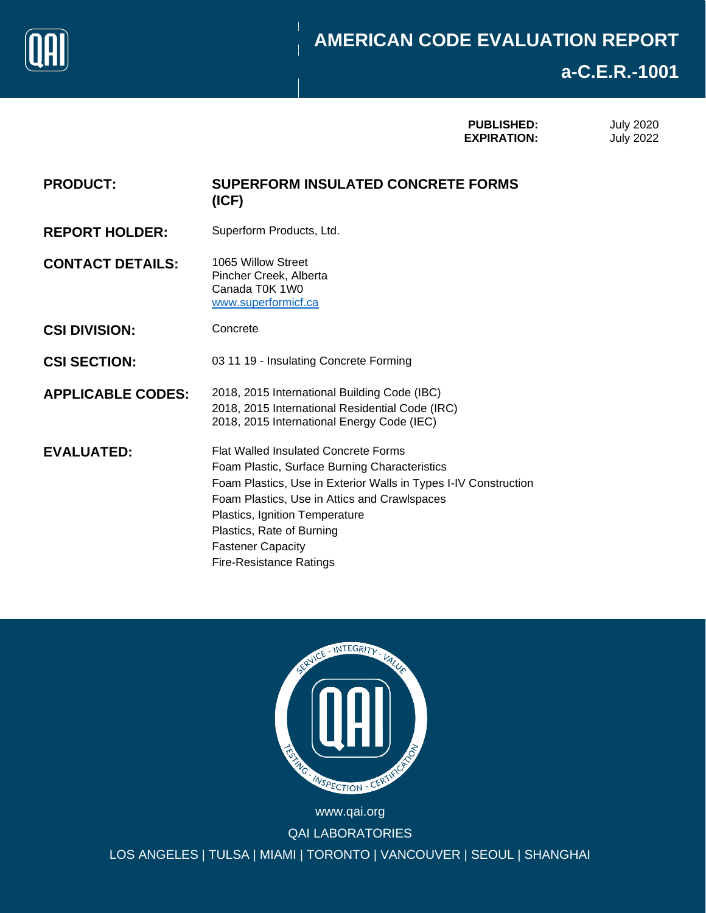

# Page 0 of 10 **a-C.E.R.-1001**

| <b>PUBLISHED:</b>  |  |
|--------------------|--|
| <b>EXPIRATION:</b> |  |

July 2020 July 2022

| <b>PRODUCT:</b> | <b>SUPERFORM INSULATED CONCRETE FORMS</b> |
|-----------------|-------------------------------------------|
|                 | (ICF)                                     |

**REPORT HOLDER:** Superform Products, Ltd.

**CONTACT DETAILS:** 1065 Willow Street Pincher Creek, Alberta Canada T0K 1W0 [www.superformicf.ca](http://www.superformicf.ca/)

- **CSI DIVISION:** Concrete
- **CSI SECTION:** 03 11 19 Insulating Concrete Forming
- **APPLICABLE CODES:** 2018, 2015 International Building Code (IBC) 2018, 2015 International Residential Code (IRC) 2018, 2015 International Energy Code (IEC)

**EVALUATED:** Flat Walled Insulated Concrete Forms Foam Plastic, Surface Burning Characteristics Foam Plastics, Use in Exterior Walls in Types I-IV Construction Foam Plastics, Use in Attics and Crawlspaces Plastics, Ignition Temperature Plastics, Rate of Burning Fastener Capacity Fire-Resistance Ratings



TORONTO I VAI www.qai.org QAI LABORATORIES LOS ANGELES | TULSA | MIAMI | TORONTO | VANCOUVER | SEOUL | SHANGHAI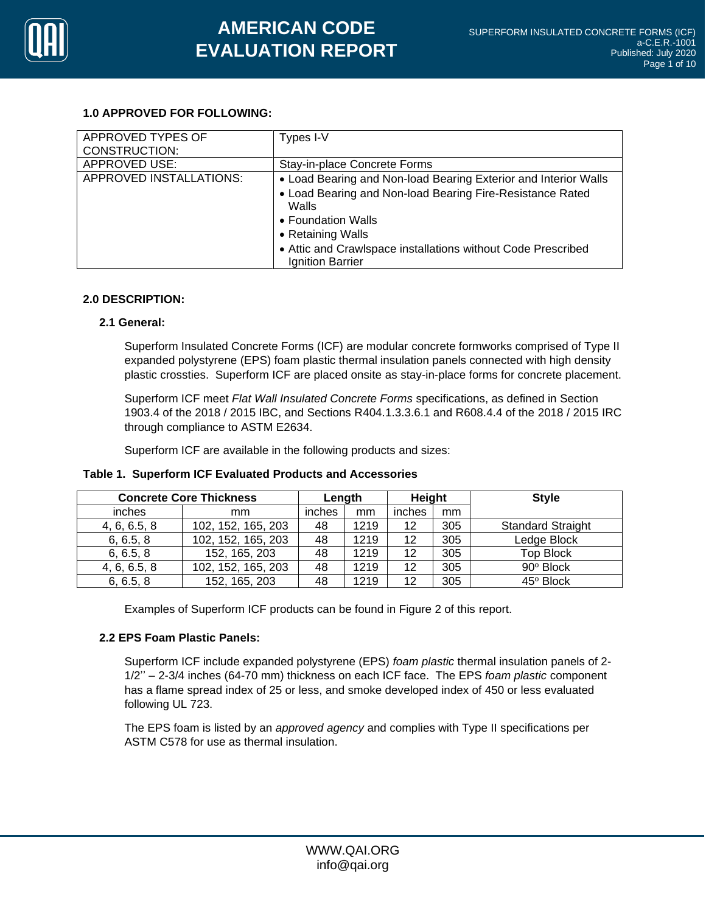

# **1.0 APPROVED FOR FOLLOWING:**

| APPROVED TYPES OF<br>CONSTRUCTION: | Types I-V                                                                                                                                                                                                                                                            |
|------------------------------------|----------------------------------------------------------------------------------------------------------------------------------------------------------------------------------------------------------------------------------------------------------------------|
| <b>APPROVED USE:</b>               | Stay-in-place Concrete Forms                                                                                                                                                                                                                                         |
| APPROVED INSTALLATIONS:            | • Load Bearing and Non-load Bearing Exterior and Interior Walls<br>• Load Bearing and Non-load Bearing Fire-Resistance Rated<br>Walls<br>• Foundation Walls<br>• Retaining Walls<br>• Attic and Crawlspace installations without Code Prescribed<br>Ignition Barrier |

## **2.0 DESCRIPTION:**

## **2.1 General:**

Superform Insulated Concrete Forms (ICF) are modular concrete formworks comprised of Type II expanded polystyrene (EPS) foam plastic thermal insulation panels connected with high density plastic crossties. Superform ICF are placed onsite as stay-in-place forms for concrete placement.

Superform ICF meet *Flat Wall Insulated Concrete Forms* specifications, as defined in Section 1903.4 of the 2018 / 2015 IBC, and Sections R404.1.3.3.6.1 and R608.4.4 of the 2018 / 2015 IRC through compliance to ASTM E2634.

Superform ICF are available in the following products and sizes:

| <b>Concrete Core Thickness</b> |                    | Length |      | Height |     | <b>Style</b>             |
|--------------------------------|--------------------|--------|------|--------|-----|--------------------------|
| inches                         | mm                 | inches | mm   | inches | mm  |                          |
| 4, 6, 6.5, 8                   | 102, 152, 165, 203 | 48     | 1219 | 12     | 305 | <b>Standard Straight</b> |
| 6, 6.5, 8                      | 102, 152, 165, 203 | 48     | 1219 | 12     | 305 | Ledge Block              |
| 6, 6.5, 8                      | 152, 165, 203      | 48     | 1219 | 12     | 305 | <b>Top Block</b>         |
| 4, 6, 6.5, 8                   | 102, 152, 165, 203 | 48     | 1219 | 12     | 305 | 90° Block                |
| 6, 6.5, 8                      | 152, 165, 203      | 48     | 1219 | 12     | 305 | 45° Block                |

## **Table 1. Superform ICF Evaluated Products and Accessories**

Examples of Superform ICF products can be found in Figure 2 of this report.

## **2.2 EPS Foam Plastic Panels:**

Superform ICF include expanded polystyrene (EPS) *foam plastic* thermal insulation panels of 2- 1/2'' – 2-3/4 inches (64-70 mm) thickness on each ICF face. The EPS *foam plastic* component has a flame spread index of 25 or less, and smoke developed index of 450 or less evaluated following UL 723.

The EPS foam is listed by an *approved agency* and complies with Type II specifications per ASTM C578 for use as thermal insulation.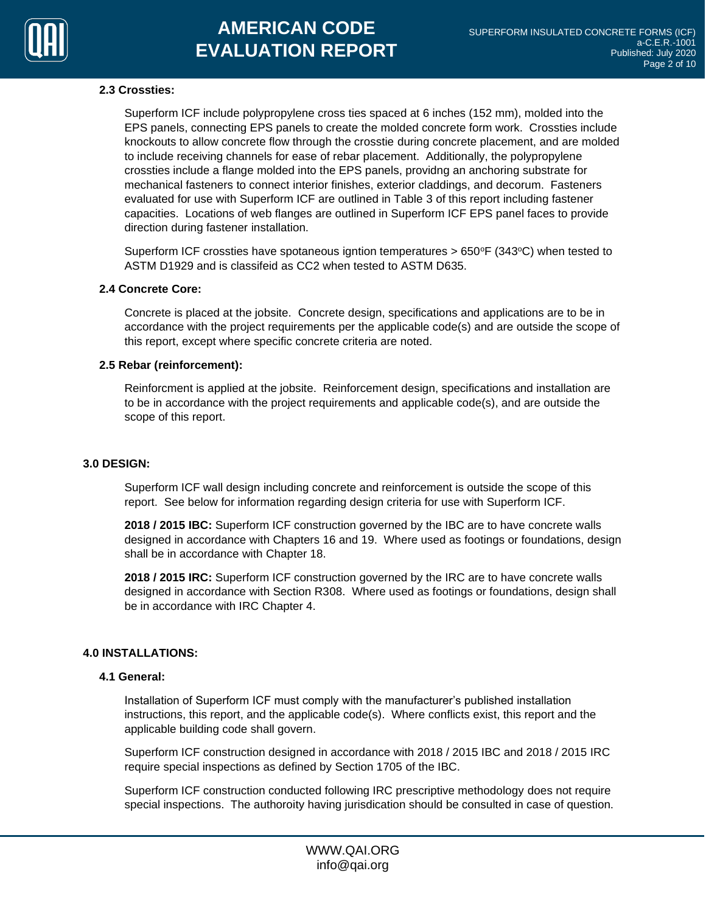

#### **2.3 Crossties:**

Superform ICF include polypropylene cross ties spaced at 6 inches (152 mm), molded into the EPS panels, connecting EPS panels to create the molded concrete form work. Crossties include knockouts to allow concrete flow through the crosstie during concrete placement, and are molded to include receiving channels for ease of rebar placement. Additionally, the polypropylene crossties include a flange molded into the EPS panels, providng an anchoring substrate for mechanical fasteners to connect interior finishes, exterior claddings, and decorum. Fasteners evaluated for use with Superform ICF are outlined in Table 3 of this report including fastener capacities. Locations of web flanges are outlined in Superform ICF EPS panel faces to provide direction during fastener installation.

Superform ICF crossties have spotaneous igntion temperatures  $> 650$ °F (343°C) when tested to ASTM D1929 and is classifeid as CC2 when tested to ASTM D635.

## **2.4 Concrete Core:**

Concrete is placed at the jobsite. Concrete design, specifications and applications are to be in accordance with the project requirements per the applicable code(s) and are outside the scope of this report, except where specific concrete criteria are noted.

#### **2.5 Rebar (reinforcement):**

Reinforcment is applied at the jobsite. Reinforcement design, specifications and installation are to be in accordance with the project requirements and applicable code(s), and are outside the scope of this report.

#### **3.0 DESIGN:**

Superform ICF wall design including concrete and reinforcement is outside the scope of this report. See below for information regarding design criteria for use with Superform ICF.

**2018 / 2015 IBC:** Superform ICF construction governed by the IBC are to have concrete walls designed in accordance with Chapters 16 and 19. Where used as footings or foundations, design shall be in accordance with Chapter 18.

**2018 / 2015 IRC:** Superform ICF construction governed by the IRC are to have concrete walls designed in accordance with Section R308. Where used as footings or foundations, design shall be in accordance with IRC Chapter 4.

## **4.0 INSTALLATIONS:**

#### **4.1 General:**

Installation of Superform ICF must comply with the manufacturer's published installation instructions, this report, and the applicable code(s). Where conflicts exist, this report and the applicable building code shall govern.

Superform ICF construction designed in accordance with 2018 / 2015 IBC and 2018 / 2015 IRC require special inspections as defined by Section 1705 of the IBC.

Superform ICF construction conducted following IRC prescriptive methodology does not require special inspections. The authoroity having jurisdication should be consulted in case of question.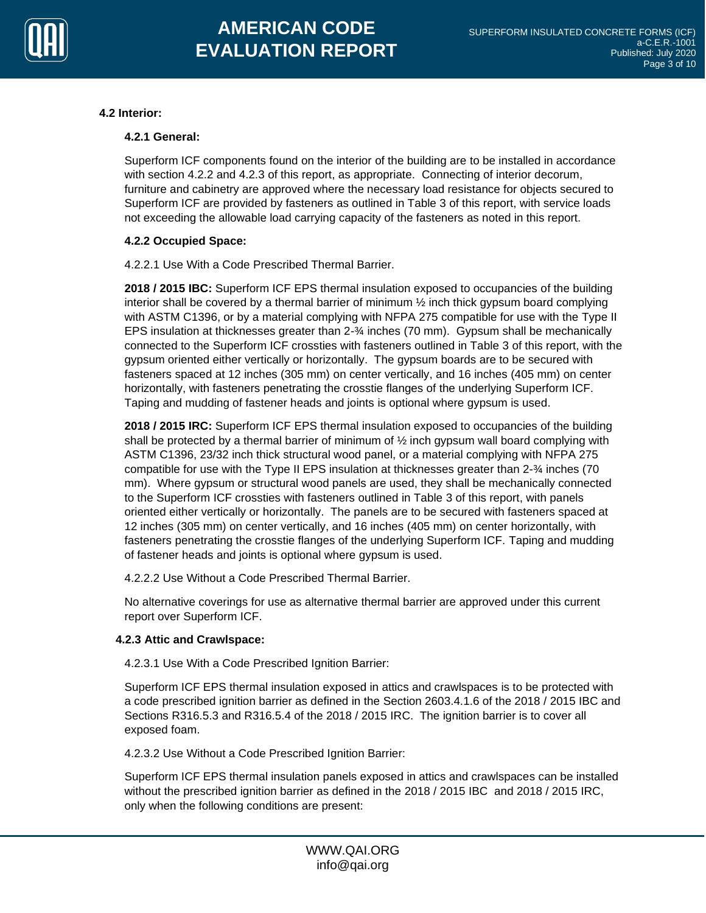

## **4.2 Interior:**

## **4.2.1 General:**

Superform ICF components found on the interior of the building are to be installed in accordance with section 4.2.2 and 4.2.3 of this report, as appropriate. Connecting of interior decorum, furniture and cabinetry are approved where the necessary load resistance for objects secured to Superform ICF are provided by fasteners as outlined in Table 3 of this report, with service loads not exceeding the allowable load carrying capacity of the fasteners as noted in this report.

## **4.2.2 Occupied Space:**

4.2.2.1 Use With a Code Prescribed Thermal Barrier.

**2018 / 2015 IBC:** Superform ICF EPS thermal insulation exposed to occupancies of the building interior shall be covered by a thermal barrier of minimum  $\frac{1}{2}$  inch thick gypsum board complying with ASTM C1396, or by a material complying with NFPA 275 compatible for use with the Type II EPS insulation at thicknesses greater than 2-¾ inches (70 mm). Gypsum shall be mechanically connected to the Superform ICF crossties with fasteners outlined in Table 3 of this report, with the gypsum oriented either vertically or horizontally. The gypsum boards are to be secured with fasteners spaced at 12 inches (305 mm) on center vertically, and 16 inches (405 mm) on center horizontally, with fasteners penetrating the crosstie flanges of the underlying Superform ICF. Taping and mudding of fastener heads and joints is optional where gypsum is used.

**2018 / 2015 IRC:** Superform ICF EPS thermal insulation exposed to occupancies of the building shall be protected by a thermal barrier of minimum of  $\frac{1}{2}$  inch gypsum wall board complying with ASTM C1396, 23/32 inch thick structural wood panel, or a material complying with NFPA 275 compatible for use with the Type II EPS insulation at thicknesses greater than 2-¾ inches (70 mm). Where gypsum or structural wood panels are used, they shall be mechanically connected to the Superform ICF crossties with fasteners outlined in Table 3 of this report, with panels oriented either vertically or horizontally. The panels are to be secured with fasteners spaced at 12 inches (305 mm) on center vertically, and 16 inches (405 mm) on center horizontally, with fasteners penetrating the crosstie flanges of the underlying Superform ICF. Taping and mudding of fastener heads and joints is optional where gypsum is used.

4.2.2.2 Use Without a Code Prescribed Thermal Barrier.

No alternative coverings for use as alternative thermal barrier are approved under this current report over Superform ICF.

## **4.2.3 Attic and Crawlspace:**

4.2.3.1 Use With a Code Prescribed Ignition Barrier:

Superform ICF EPS thermal insulation exposed in attics and crawlspaces is to be protected with a code prescribed ignition barrier as defined in the Section 2603.4.1.6 of the 2018 / 2015 IBC and Sections R316.5.3 and R316.5.4 of the 2018 / 2015 IRC. The ignition barrier is to cover all exposed foam.

4.2.3.2 Use Without a Code Prescribed Ignition Barrier:

Superform ICF EPS thermal insulation panels exposed in attics and crawlspaces can be installed without the prescribed ignition barrier as defined in the 2018 / 2015 IBC and 2018 / 2015 IRC, only when the following conditions are present: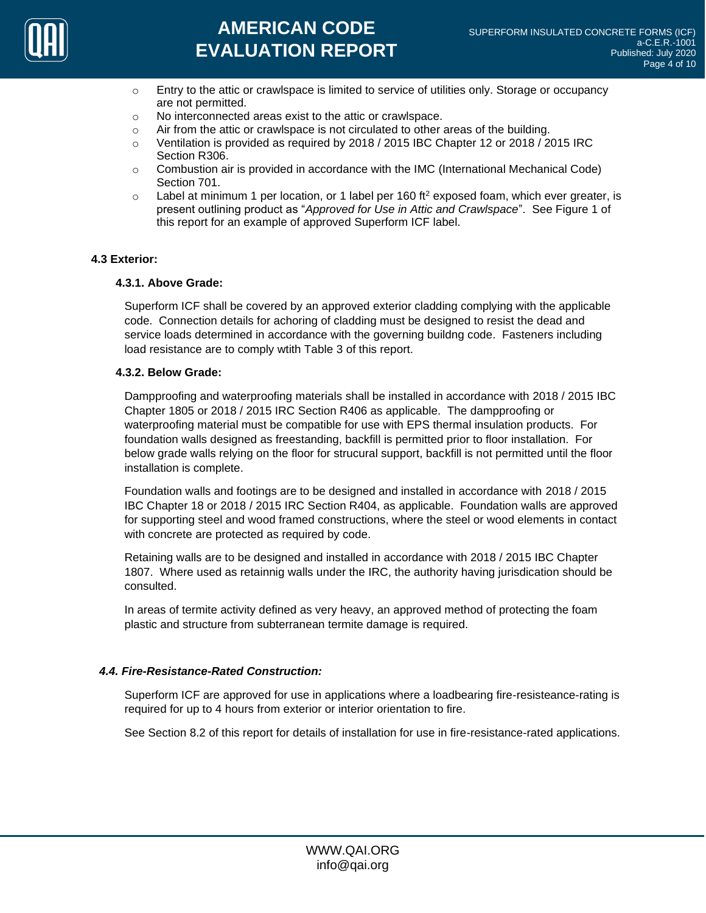

- $\circ$  Entry to the attic or crawlspace is limited to service of utilities only. Storage or occupancy are not permitted.
- o No interconnected areas exist to the attic or crawlspace.
- $\circ$  Air from the attic or crawlspace is not circulated to other areas of the building.
- $\degree$  Ventilation is provided as required by 2018 / 2015 IBC Chapter 12 or 2018 / 2015 IRC Section R306.
- $\circ$  Combustion air is provided in accordance with the IMC (International Mechanical Code) Section 701.
- $\circ$  Label at minimum 1 per location, or 1 label per 160 ft<sup>2</sup> exposed foam, which ever greater, is present outlining product as "*Approved for Use in Attic and Crawlspace*". See Figure 1 of this report for an example of approved Superform ICF label.

## **4.3 Exterior:**

## **4.3.1. Above Grade:**

Superform ICF shall be covered by an approved exterior cladding complying with the applicable code. Connection details for achoring of cladding must be designed to resist the dead and service loads determined in accordance with the governing buildng code. Fasteners including load resistance are to comply wtith Table 3 of this report.

#### **4.3.2. Below Grade:**

Dampproofing and waterproofing materials shall be installed in accordance with 2018 / 2015 IBC Chapter 1805 or 2018 / 2015 IRC Section R406 as applicable. The dampproofing or waterproofing material must be compatible for use with EPS thermal insulation products. For foundation walls designed as freestanding, backfill is permitted prior to floor installation. For below grade walls relying on the floor for strucural support, backfill is not permitted until the floor installation is complete.

Foundation walls and footings are to be designed and installed in accordance with 2018 / 2015 IBC Chapter 18 or 2018 / 2015 IRC Section R404, as applicable. Foundation walls are approved for supporting steel and wood framed constructions, where the steel or wood elements in contact with concrete are protected as required by code.

Retaining walls are to be designed and installed in accordance with 2018 / 2015 IBC Chapter 1807. Where used as retainnig walls under the IRC, the authority having jurisdication should be consulted.

In areas of termite activity defined as very heavy, an approved method of protecting the foam plastic and structure from subterranean termite damage is required.

## *4.4. Fire-Resistance-Rated Construction:*

Superform ICF are approved for use in applications where a loadbearing fire-resisteance-rating is required for up to 4 hours from exterior or interior orientation to fire.

See Section 8.2 of this report for details of installation for use in fire-resistance-rated applications.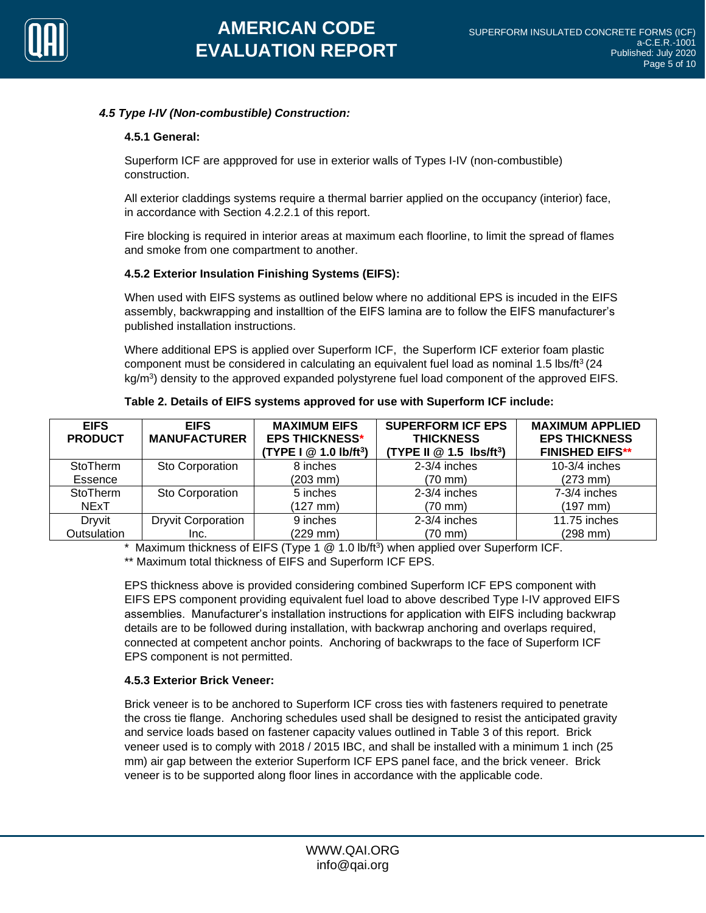

## *4.5 Type I-IV (Non-combustible) Construction:*

## **4.5.1 General:**

Superform ICF are appproved for use in exterior walls of Types I-IV (non-combustible) construction.

All exterior claddings systems require a thermal barrier applied on the occupancy (interior) face, in accordance with Section 4.2.2.1 of this report.

Fire blocking is required in interior areas at maximum each floorline, to limit the spread of flames and smoke from one compartment to another.

## **4.5.2 Exterior Insulation Finishing Systems (EIFS):**

When used with EIFS systems as outlined below where no additional EPS is incuded in the EIFS assembly, backwrapping and installtion of the EIFS lamina are to follow the EIFS manufacturer's published installation instructions.

Where additional EPS is applied over Superform ICF, the Superform ICF exterior foam plastic component must be considered in calculating an equivalent fuel load as nominal 1.5 lbs/ft<sup>3</sup> (24 kg/m<sup>3</sup>) density to the approved expanded polystyrene fuel load component of the approved EIFS.

| <b>EIFS</b><br><b>PRODUCT</b> | <b>EIFS</b><br><b>MANUFACTURER</b> | <b>MAXIMUM EIFS</b><br><b>EPS THICKNESS*</b><br>(TYPE I $@$ 1.0 lb/ft <sup>3</sup> ) | <b>SUPERFORM ICF EPS</b><br><b>THICKNESS</b><br>(TYPE II $@$ 1.5 lbs/ft <sup>3</sup> ) | <b>MAXIMUM APPLIED</b><br><b>EPS THICKNESS</b><br><b>FINISHED EIFS**</b> |
|-------------------------------|------------------------------------|--------------------------------------------------------------------------------------|----------------------------------------------------------------------------------------|--------------------------------------------------------------------------|
| <b>StoTherm</b>               | Sto Corporation                    | 8 inches                                                                             | $2-3/4$ inches                                                                         | $10-3/4$ inches                                                          |
| Essence                       |                                    | $(203 \, \text{mm})$                                                                 | $(70 \text{ mm})$                                                                      | $(273$ mm)                                                               |
| StoTherm                      | Sto Corporation                    | 5 inches                                                                             | 2-3/4 inches                                                                           | 7-3/4 inches                                                             |
| NExT                          |                                    | (127 mm)                                                                             | $(70 \text{ mm})$                                                                      | $(197$ mm)                                                               |
| Dryvit                        | <b>Dryvit Corporation</b>          | 9 inches                                                                             | $2-3/4$ inches                                                                         | 11.75 inches                                                             |
| Outsulation                   | Inc.                               | (229 mm)                                                                             | (70 mm)                                                                                | $(298$ mm $)$                                                            |

**Table 2. Details of EIFS systems approved for use with Superform ICF include:**

\* Maximum thickness of EIFS (Type 1 @ 1.0 lb/ft<sup>3</sup> ) when applied over Superform ICF. \*\* Maximum total thickness of EIFS and Superform ICF EPS.

EPS thickness above is provided considering combined Superform ICF EPS component with EIFS EPS component providing equivalent fuel load to above described Type I-IV approved EIFS assemblies. Manufacturer's installation instructions for application with EIFS including backwrap details are to be followed during installation, with backwrap anchoring and overlaps required, connected at competent anchor points. Anchoring of backwraps to the face of Superform ICF EPS component is not permitted.

## **4.5.3 Exterior Brick Veneer:**

Brick veneer is to be anchored to Superform ICF cross ties with fasteners required to penetrate the cross tie flange. Anchoring schedules used shall be designed to resist the anticipated gravity and service loads based on fastener capacity values outlined in Table 3 of this report. Brick veneer used is to comply with 2018 / 2015 IBC, and shall be installed with a minimum 1 inch (25 mm) air gap between the exterior Superform ICF EPS panel face, and the brick veneer. Brick veneer is to be supported along floor lines in accordance with the applicable code.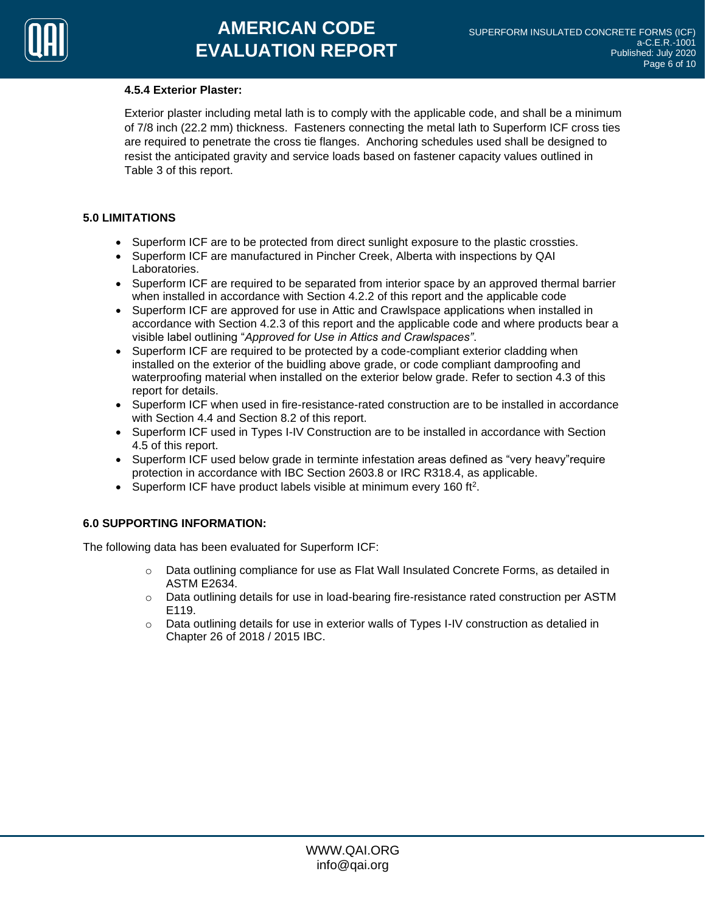#### **4.5.4 Exterior Plaster:**

Exterior plaster including metal lath is to comply with the applicable code, and shall be a minimum of 7/8 inch (22.2 mm) thickness. Fasteners connecting the metal lath to Superform ICF cross ties are required to penetrate the cross tie flanges. Anchoring schedules used shall be designed to resist the anticipated gravity and service loads based on fastener capacity values outlined in Table 3 of this report.

## **5.0 LIMITATIONS**

- Superform ICF are to be protected from direct sunlight exposure to the plastic crossties.
- Superform ICF are manufactured in Pincher Creek, Alberta with inspections by QAI Laboratories.
- Superform ICF are required to be separated from interior space by an approved thermal barrier when installed in accordance with Section 4.2.2 of this report and the applicable code
- Superform ICF are approved for use in Attic and Crawlspace applications when installed in accordance with Section 4.2.3 of this report and the applicable code and where products bear a visible label outlining "*Approved for Use in Attics and Crawlspaces"*.
- Superform ICF are required to be protected by a code-compliant exterior cladding when installed on the exterior of the buidling above grade, or code compliant damproofing and waterproofing material when installed on the exterior below grade. Refer to section 4.3 of this report for details.
- Superform ICF when used in fire-resistance-rated construction are to be installed in accordance with Section 4.4 and Section 8.2 of this report.
- Superform ICF used in Types I-IV Construction are to be installed in accordance with Section 4.5 of this report.
- Superform ICF used below grade in terminte infestation areas defined as "very heavy" require protection in accordance with IBC Section 2603.8 or IRC R318.4, as applicable.
- Superform ICF have product labels visible at minimum every 160 ft<sup>2</sup>.

## **6.0 SUPPORTING INFORMATION:**

The following data has been evaluated for Superform ICF:

- o Data outlining compliance for use as Flat Wall Insulated Concrete Forms, as detailed in ASTM E2634.
- o Data outlining details for use in load-bearing fire-resistance rated construction per ASTM E119.
- $\circ$  Data outlining details for use in exterior walls of Types I-IV construction as detalied in Chapter 26 of 2018 / 2015 IBC.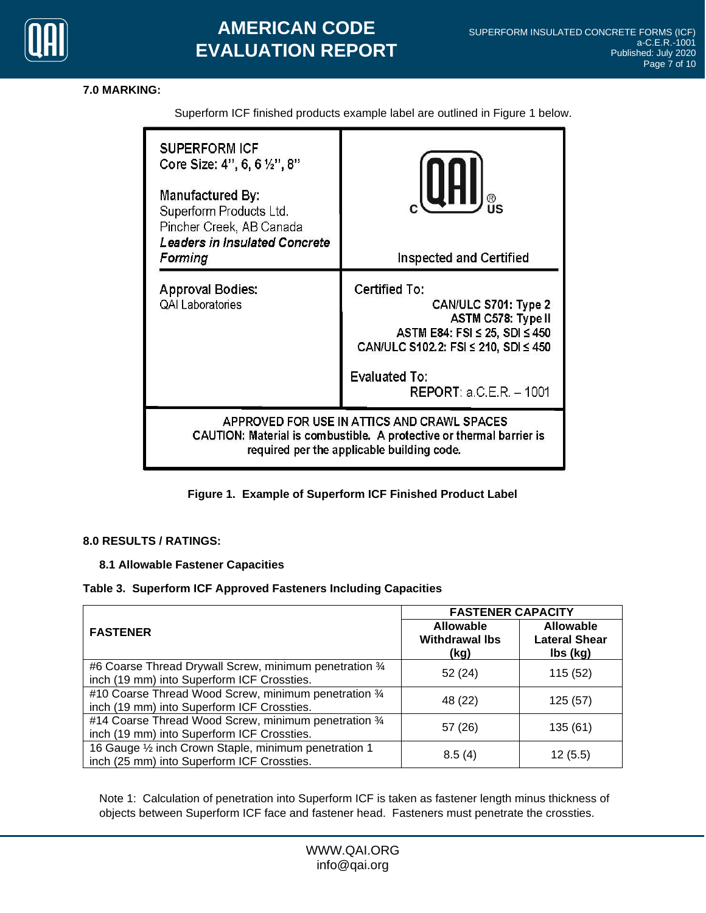

# **AMERICAN CODE EVALUATION REPORT**

## **7.0 MARKING:**

**SUPERFORM ICF** Core Size: 4", 6, 6 1/2", 8" Manufactured By: Superform Products Ltd. Pincher Creek, AB Canada **Leaders in Insulated Concrete Inspected and Certified** Forming **Approval Bodies:** Certified To: **QAI Laboratories** CAN/ULC S701: Type 2 **ASTM C578: Type II** ASTM E84: FSI  $\leq$  25, SDI  $\leq$  450 CAN/ULC S102.2: FSI ≤ 210, SDI ≤ 450 **Evaluated To: REPORT: a.C.E.R. - 1001** APPROVED FOR USE IN ATTICS AND CRAWL SPACES CAUTION: Material is combustible. A protective or thermal barrier is required per the applicable building code.

Superform ICF finished products example label are outlined in Figure 1 below.

## **Figure 1. Example of Superform ICF Finished Product Label**

## **8.0 RESULTS / RATINGS:**

## **8.1 Allowable Fastener Capacities**

#### **Table 3. Superform ICF Approved Fasteners Including Capacities**

|                                                                                                       | <b>FASTENER CAPACITY</b>                          |                                                      |  |
|-------------------------------------------------------------------------------------------------------|---------------------------------------------------|------------------------------------------------------|--|
| <b>FASTENER</b>                                                                                       | <b>Allowable</b><br><b>Withdrawal Ibs</b><br>(kg) | <b>Allowable</b><br><b>Lateral Shear</b><br>lbs (kg) |  |
| #6 Coarse Thread Drywall Screw, minimum penetration 3/4<br>inch (19 mm) into Superform ICF Crossties. | 52 (24)                                           | 115 (52)                                             |  |
| #10 Coarse Thread Wood Screw, minimum penetration 3/4<br>inch (19 mm) into Superform ICF Crossties.   | 48 (22)                                           | 125(57)                                              |  |
| #14 Coarse Thread Wood Screw, minimum penetration 3/4<br>inch (19 mm) into Superform ICF Crossties.   | 57 (26)                                           | 135(61)                                              |  |
| 16 Gauge 1/2 inch Crown Staple, minimum penetration 1<br>inch (25 mm) into Superform ICF Crossties.   | 8.5(4)                                            | 12(5.5)                                              |  |

Note 1: Calculation of penetration into Superform ICF is taken as fastener length minus thickness of objects between Superform ICF face and fastener head. Fasteners must penetrate the crossties.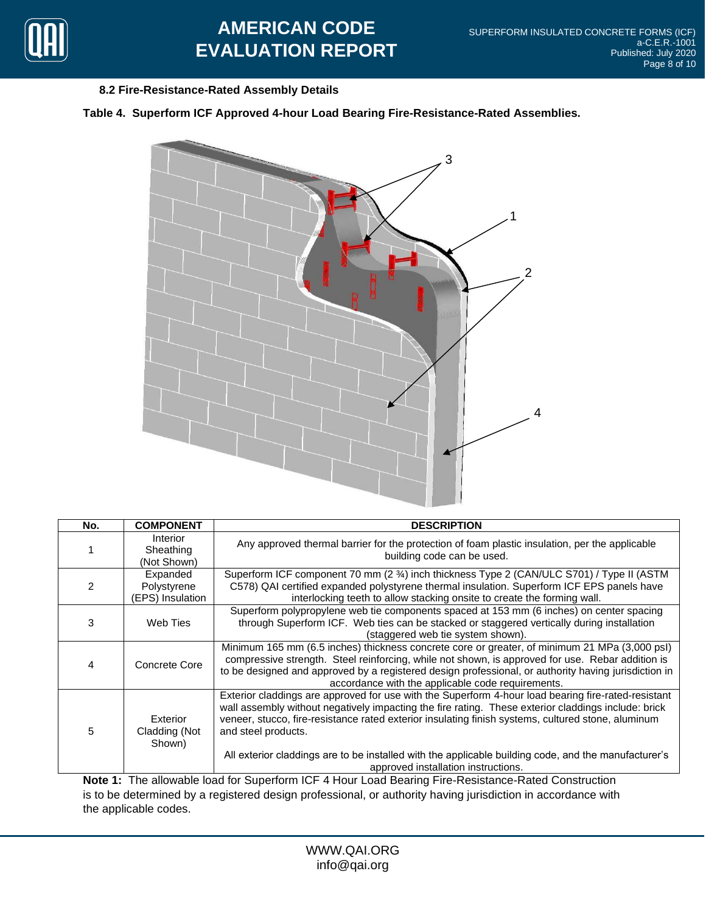

# **AMERICAN CODE EVALUATION REPORT**

## **8.2 Fire-Resistance-Rated Assembly Details**

## **Table 4. Superform ICF Approved 4-hour Load Bearing Fire-Resistance-Rated Assemblies.**



| No. | <b>COMPONENT</b>                            | <b>DESCRIPTION</b>                                                                                                                                                                                                                                                                                                                                                                                                                                                                     |
|-----|---------------------------------------------|----------------------------------------------------------------------------------------------------------------------------------------------------------------------------------------------------------------------------------------------------------------------------------------------------------------------------------------------------------------------------------------------------------------------------------------------------------------------------------------|
|     | Interior<br>Sheathing<br>(Not Shown)        | Any approved thermal barrier for the protection of foam plastic insulation, per the applicable<br>building code can be used.                                                                                                                                                                                                                                                                                                                                                           |
|     | Expanded<br>Polystyrene<br>(EPS) Insulation | Superform ICF component 70 mm (2 34) inch thickness Type 2 (CAN/ULC S701) / Type II (ASTM<br>C578) QAI certified expanded polystyrene thermal insulation. Superform ICF EPS panels have<br>interlocking teeth to allow stacking onsite to create the forming wall.                                                                                                                                                                                                                     |
| 3   | Web Ties                                    | Superform polypropylene web tie components spaced at 153 mm (6 inches) on center spacing<br>through Superform ICF. Web ties can be stacked or staggered vertically during installation<br>(staggered web tie system shown).                                                                                                                                                                                                                                                            |
| 4   | Concrete Core                               | Minimum 165 mm (6.5 inches) thickness concrete core or greater, of minimum 21 MPa (3,000 psl)<br>compressive strength. Steel reinforcing, while not shown, is approved for use. Rebar addition is<br>to be designed and approved by a registered design professional, or authority having jurisdiction in<br>accordance with the applicable code requirements.                                                                                                                         |
| 5   | Exterior<br>Cladding (Not<br>Shown)         | Exterior claddings are approved for use with the Superform 4-hour load bearing fire-rated-resistant<br>wall assembly without negatively impacting the fire rating. These exterior claddings include: brick<br>veneer, stucco, fire-resistance rated exterior insulating finish systems, cultured stone, aluminum<br>and steel products.<br>All exterior claddings are to be installed with the applicable building code, and the manufacturer's<br>approved installation instructions. |
|     |                                             | Note 1: The allowable load for Superform ICE 4 Hour Load Bearing Fire-Resistance-Rated Construction                                                                                                                                                                                                                                                                                                                                                                                    |

upertorm ICF 4 Hour Load Bearing Fire-Resistance-Rated Construction is to be determined by a registered design professional, or authority having jurisdiction in accordance with the applicable codes.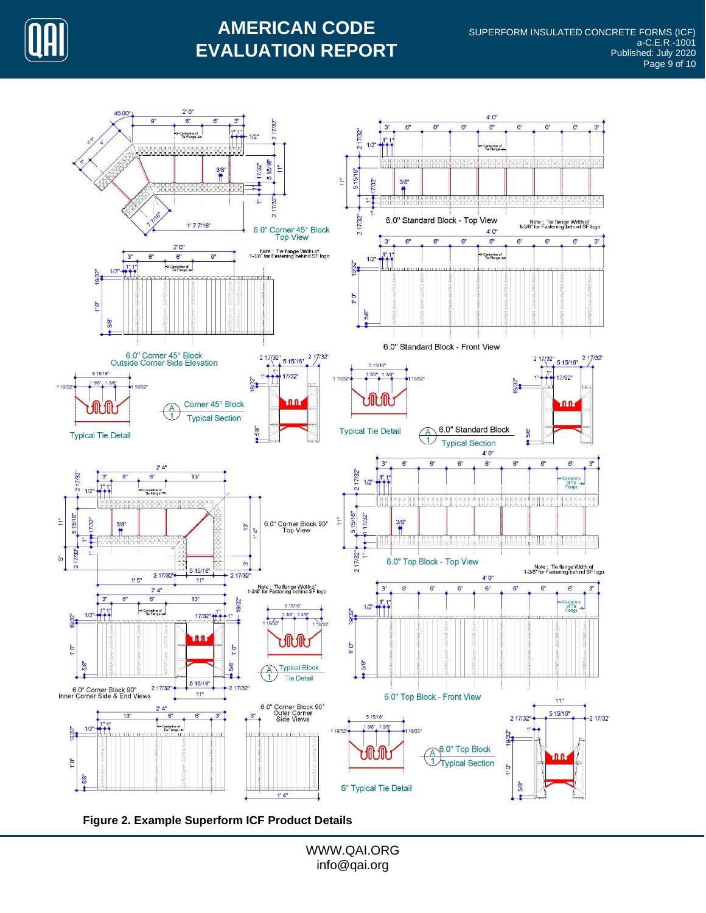

# **AMERICAN CODE EVALUATION REPORT**



**Figure 2. Example Superform ICF Product Details**